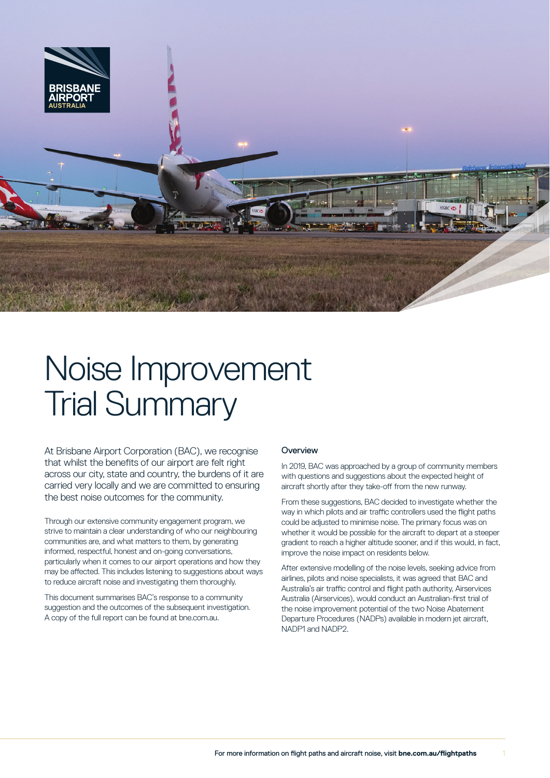

# Noise Improvement Trial Summary

At Brisbane Airport Corporation (BAC), we recognise that whilst the benefits of our airport are felt right across our city, state and country, the burdens of it are carried very locally and we are committed to ensuring the best noise outcomes for the community.

Through our extensive community engagement program, we strive to maintain a clear understanding of who our neighbouring communities are, and what matters to them, by generating informed, respectful, honest and on-going conversations, particularly when it comes to our airport operations and how they may be affected. This includes listening to suggestions about ways to reduce aircraft noise and investigating them thoroughly.

This document summarises BAC's response to a community suggestion and the outcomes of the subsequent investigation. A copy of the full report can be found at bne.com.au.

## **Overview**

In 2019, BAC was approached by a group of community members with questions and suggestions about the expected height of aircraft shortly after they take-off from the new runway.

From these suggestions, BAC decided to investigate whether the way in which pilots and air traffic controllers used the flight paths could be adjusted to minimise noise. The primary focus was on whether it would be possible for the aircraft to depart at a steeper gradient to reach a higher altitude sooner, and if this would, in fact, improve the noise impact on residents below.

After extensive modelling of the noise levels, seeking advice from airlines, pilots and noise specialists, it was agreed that BAC and Australia's air traffic control and flight path authority, Airservices Australia (Airservices), would conduct an Australian-first trial of the noise improvement potential of the two Noise Abatement Departure Procedures (NADPs) available in modern jet aircraft, NADP1 and NADP2.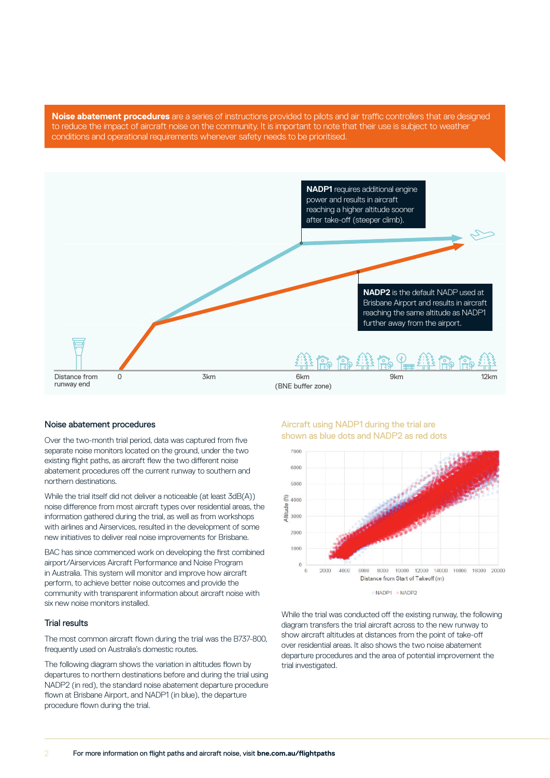**Noise abatement procedures** are a series of instructions provided to pilots and air traffic controllers that are designed to reduce the impact of aircraft noise on the community. It is important to note that their use is subject to weather conditions and operational requirements whenever safety needs to be prioritised.



#### Noise abatement procedures

Over the two-month trial period, data was captured from five separate noise monitors located on the ground, under the two existing flight paths, as aircraft flew the two different noise abatement procedures off the current runway to southern and northern destinations.

While the trial itself did not deliver a noticeable (at least 3dB(A)) noise difference from most aircraft types over residential areas, the information gathered during the trial, as well as from workshops with airlines and Airservices, resulted in the development of some new initiatives to deliver real noise improvements for Brisbane.

BAC has since commenced work on developing the first combined airport/Airservices Aircraft Performance and Noise Program in Australia. This system will monitor and improve how aircraft perform, to achieve better noise outcomes and provide the community with transparent information about aircraft noise with six new noise monitors installed.

#### Trial results

The most common aircraft flown during the trial was the B737-800, frequently used on Australia's domestic routes.

The following diagram shows the variation in altitudes flown by departures to northern destinations before and during the trial using NADP2 (in red), the standard noise abatement departure procedure flown at Brisbane Airport, and NADP1 (in blue), the departure procedure flown during the trial.

Aircraft using NADP1 during the trial are shown as blue dots and NADP2 as red dots



NADP1 NADP2

While the trial was conducted off the existing runway, the following diagram transfers the trial aircraft across to the new runway to show aircraft altitudes at distances from the point of take-off over residential areas. It also shows the two noise abatement departure procedures and the area of potential improvement the trial investigated.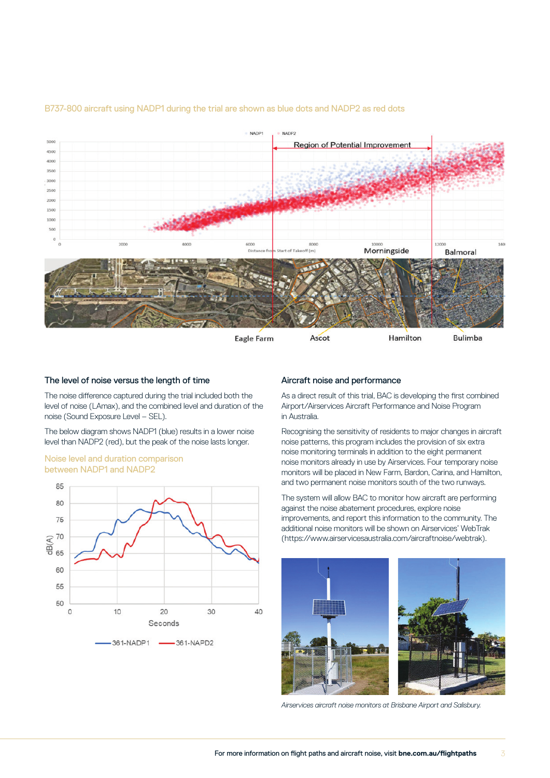

## B737-800 aircraft using NADP1 during the trial are shown as blue dots and NADP2 as red dots

#### The level of noise versus the length of time

The noise difference captured during the trial included both the level of noise (LAmax), and the combined level and duration of the noise (Sound Exposure Level – SEL).

The below diagram shows NADP1 (blue) results in a lower noise level than NADP2 (red), but the peak of the noise lasts longer.

#### Noise level and duration comparison between NADP1 and NADP2



## Aircraft noise and performance

As a direct result of this trial, BAC is developing the first combined Airport/Airservices Aircraft Performance and Noise Program in Australia.

Recognising the sensitivity of residents to major changes in aircraft noise patterns, this program includes the provision of six extra noise monitoring terminals in addition to the eight permanent noise monitors already in use by Airservices. Four temporary noise monitors will be placed in New Farm, Bardon, Carina, and Hamilton, and two permanent noise monitors south of the two runways.

The system will allow BAC to monitor how aircraft are performing against the noise abatement procedures, explore noise improvements, and report this information to the community. The additional noise monitors will be shown on Airservices' WebTrak [\(https://www.airservicesaustralia.com/aircraftnoise/webtrak\)](https://www.airservicesaustralia.com/aircraftnoise/webtrak).



*Airservices aircraft noise monitors at Brisbane Airport and Salisbury.*